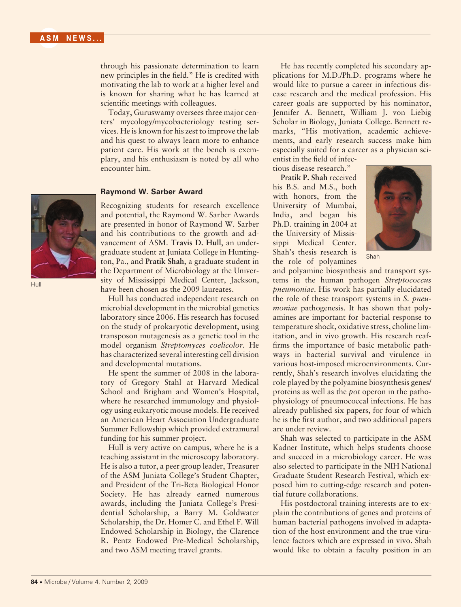through his passionate determination to learn new principles in the field." He is credited with motivating the lab to work at a higher level and is known for sharing what he has learned at scientific meetings with colleagues.

Today, Guruswamy oversees three major centers' mycology/mycobacteriology testing services. He is known for his zest to improve the lab and his quest to always learn more to enhance patient care. His work at the bench is exemplary, and his enthusiasm is noted by all who encounter him.

## **Raymond W. Sarber Award**

Recognizing students for research excellence and potential, the Raymond W. Sarber Awards are presented in honor of Raymond W. Sarber and his contributions to the growth and advancement of ASM. **Travis D. Hull**, an undergraduate student at Juniata College in Huntington, Pa., and **Pratik Shah**, a graduate student in the Department of Microbiology at the University of Mississippi Medical Center, Jackson, have been chosen as the 2009 laureates.

Hull has conducted independent research on microbial development in the microbial genetics laboratory since 2006. His research has focused on the study of prokaryotic development, using transposon mutagenesis as a genetic tool in the model organism *Streptomyces coelicolor*. He has characterized several interesting cell division and developmental mutations.

He spent the summer of 2008 in the laboratory of Gregory Stahl at Harvard Medical School and Brigham and Women's Hospital, where he researched immunology and physiology using eukaryotic mouse models. He received an American Heart Association Undergraduate Summer Fellowship which provided extramural funding for his summer project.

Hull is very active on campus, where he is a teaching assistant in the microscopy laboratory. He is also a tutor, a peer group leader, Treasurer of the ASM Juniata College's Student Chapter, and President of the Tri-Beta Biological Honor Society. He has already earned numerous awards, including the Juniata College's Presidential Scholarship, a Barry M. Goldwater Scholarship, the Dr. Homer C. and Ethel F. Will Endowed Scholarship in Biology, the Clarence R. Pentz Endowed Pre-Medical Scholarship, and two ASM meeting travel grants.

He has recently completed his secondary applications for M.D./Ph.D. programs where he would like to pursue a career in infectious disease research and the medical profession. His career goals are supported by his nominator, Jennifer A. Bennett, William J. von Liebig Scholar in Biology, Juniata College. Bennett remarks, "His motivation, academic achievements, and early research success make him especially suited for a career as a physician scientist in the field of infec-

tious disease research."

**Pratik P. Shah** received his B.S. and M.S., both with honors, from the University of Mumbai, India, and began his Ph.D. training in 2004 at the University of Mississippi Medical Center. Shah's thesis research is the role of polyamines



Shah

and polyamine biosynthesis and transport systems in the human pathogen *Streptococcus pneumoniae*. His work has partially elucidated the role of these transport systems in *S. pneumoniae* pathogenesis. It has shown that polyamines are important for bacterial response to temperature shock, oxidative stress, choline limitation, and in vivo growth. His research reaffirms the importance of basic metabolic pathways in bacterial survival and virulence in various host-imposed microenvironments. Currently, Shah's research involves elucidating the role played by the polyamine biosynthesis genes/ proteins as well as the *pot* operon in the pathophysiology of pneumococcal infections. He has already published six papers, for four of which he is the first author, and two additional papers are under review.

Shah was selected to participate in the ASM Kadner Institute, which helps students choose and succeed in a microbiology career. He was also selected to participate in the NIH National Graduate Student Research Festival, which exposed him to cutting-edge research and potential future collaborations.

His postdoctoral training interests are to explain the contributions of genes and proteins of human bacterial pathogens involved in adaptation of the host environment and the true virulence factors which are expressed in vivo. Shah would like to obtain a faculty position in an